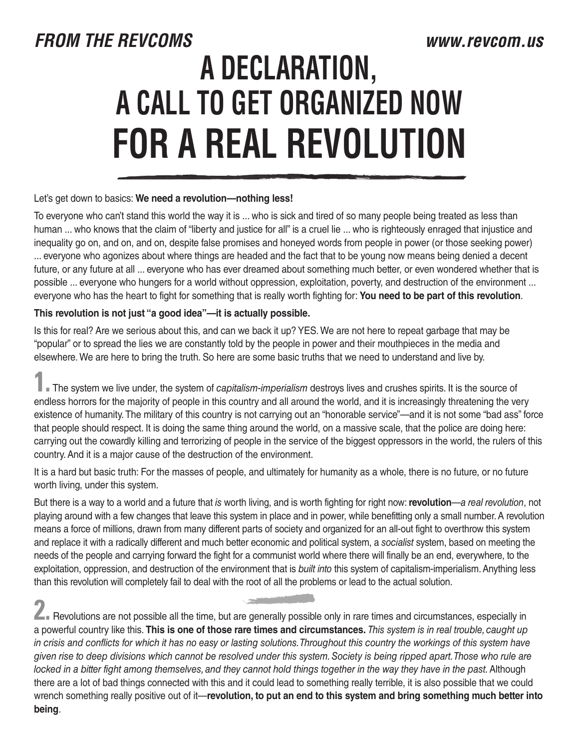## *FROM THE REVCOMS www.revcom.us*  **A DECLARATION, A CALL TO GET ORGANIZED NOW FOR A REAL REVOLUTION**

## Let's get down to basics: **We need a revolution—nothing less!**

To everyone who can't stand this world the way it is ... who is sick and tired of so many people being treated as less than human ... who knows that the claim of "liberty and justice for all" is a cruel lie ... who is righteously enraged that injustice and inequality go on, and on, and on, despite false promises and honeyed words from people in power (or those seeking power) ... everyone who agonizes about where things are headed and the fact that to be young now means being denied a decent future, or any future at all ... everyone who has ever dreamed about something much better, or even wondered whether that is possible ... everyone who hungers for a world without oppression, exploitation, poverty, and destruction of the environment ... everyone who has the heart to fight for something that is really worth fighting for: **You need to be part of this revolution**.

## **This revolution is not just "a good idea"—it is actually possible.**

Is this for real? Are we serious about this, and can we back it up? YES. We are not here to repeat garbage that may be "popular" or to spread the lies we are constantly told by the people in power and their mouthpieces in the media and elsewhere. We are here to bring the truth. So here are some basic truths that we need to understand and live by.

**1.** The system we live under, the system of *capitalism-imperialism* destroys lives and crushes spirits. It is the source of endless horrors for the majority of people in this country and all around the world, and it is increasingly threatening the very existence of humanity. The military of this country is not carrying out an "honorable service"—and it is not some "bad ass" force that people should respect. It is doing the same thing around the world, on a massive scale, that the police are doing here: carrying out the cowardly killing and terrorizing of people in the service of the biggest oppressors in the world, the rulers of this country. And it is a major cause of the destruction of the environment.

It is a hard but basic truth: For the masses of people, and ultimately for humanity as a whole, there is no future, or no future worth living, under this system.

But there is a way to a world and a future that *is* worth living, and is worth fighting for right now: **revolution**—*a real revolution*, not playing around with a few changes that leave this system in place and in power, while benefitting only a small number. A revolution means a force of millions, drawn from many different parts of society and organized for an all-out fight to overthrow this system and replace it with a radically different and much better economic and political system, a *socialist* system, based on meeting the needs of the people and carrying forward the fight for a communist world where there will finally be an end, everywhere, to the exploitation, oppression, and destruction of the environment that is *built into* this system of capitalism-imperialism. Anything less than this revolution will completely fail to deal with the root of all the problems or lead to the actual solution.

**2.** Revolutions are not possible all the time, but are generally possible only in rare times and circumstances, especially in a powerful country like this. **This is one of those rare times and circumstances.** *This system is in real trouble, caught up in crisis and conflicts for which it has no easy or lasting solutions. Throughout this country the workings of this system have given rise to deep divisions which cannot be resolved under this system. Society is being ripped apart. Those who rule are locked in a bitter fight among themselves, and they cannot hold things together in the way they have in the past. Although* there are a lot of bad things connected with this and it could lead to something really terrible, it is also possible that we could wrench something really positive out of it—**revolution, to put an end to this system and bring something much better into being**.